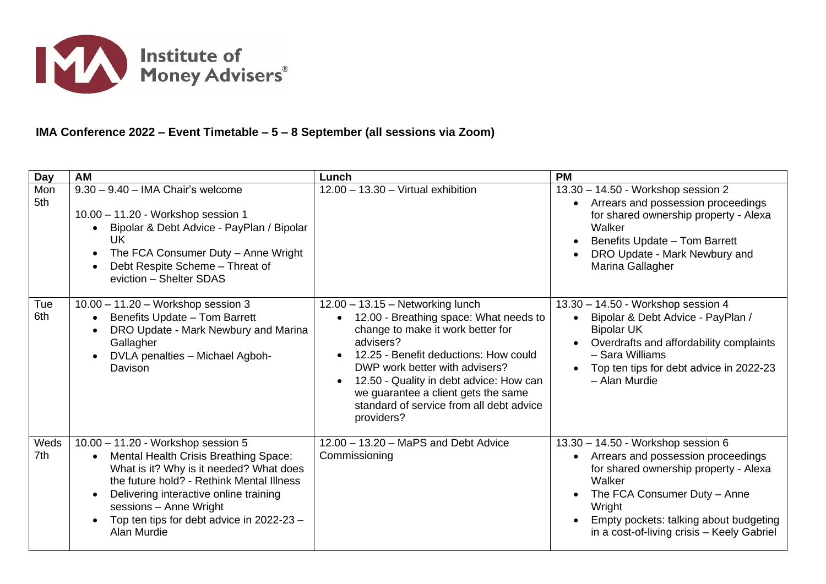

## **IMA Conference 2022 – Event Timetable – 5 – 8 September (all sessions via Zoom)**

| <b>Day</b>  | <b>AM</b>                                                                                                                                                                                                                                                                                                                                  | Lunch                                                                                                                                                                                                                                                                                                                                                            | <b>PM</b>                                                                                                                                                                                                                                                     |
|-------------|--------------------------------------------------------------------------------------------------------------------------------------------------------------------------------------------------------------------------------------------------------------------------------------------------------------------------------------------|------------------------------------------------------------------------------------------------------------------------------------------------------------------------------------------------------------------------------------------------------------------------------------------------------------------------------------------------------------------|---------------------------------------------------------------------------------------------------------------------------------------------------------------------------------------------------------------------------------------------------------------|
| Mon<br>5th  | $9.30 - 9.40 -$ IMA Chair's welcome<br>10.00 - 11.20 - Workshop session 1<br>Bipolar & Debt Advice - PayPlan / Bipolar<br><b>UK</b><br>The FCA Consumer Duty - Anne Wright<br>Debt Respite Scheme - Threat of<br>eviction - Shelter SDAS                                                                                                   | $12.00 - 13.30 - Virtual$ exhibition                                                                                                                                                                                                                                                                                                                             | 13.30 - 14.50 - Workshop session 2<br>Arrears and possession proceedings<br>for shared ownership property - Alexa<br>Walker<br>Benefits Update - Tom Barrett<br>DRO Update - Mark Newbury and<br>Marina Gallagher                                             |
| Tue<br>6th  | $10.00 - 11.20 - Workshop session 3$<br>Benefits Update - Tom Barrett<br>$\bullet$<br>DRO Update - Mark Newbury and Marina<br>Gallagher<br>DVLA penalties - Michael Agboh-<br>Davison                                                                                                                                                      | 12.00 - 13.15 - Networking lunch<br>12.00 - Breathing space: What needs to<br>$\bullet$<br>change to make it work better for<br>advisers?<br>12.25 - Benefit deductions: How could<br>DWP work better with advisers?<br>12.50 - Quality in debt advice: How can<br>we guarantee a client gets the same<br>standard of service from all debt advice<br>providers? | 13.30 - 14.50 - Workshop session 4<br>Bipolar & Debt Advice - PayPlan /<br><b>Bipolar UK</b><br>Overdrafts and affordability complaints<br>- Sara Williams<br>Top ten tips for debt advice in 2022-23<br>- Alan Murdie                                        |
| Weds<br>7th | 10.00 - 11.20 - Workshop session 5<br>Mental Health Crisis Breathing Space:<br>$\bullet$<br>What is it? Why is it needed? What does<br>the future hold? - Rethink Mental Illness<br>Delivering interactive online training<br>$\bullet$<br>sessions - Anne Wright<br>Top ten tips for debt advice in 2022-23 -<br>$\bullet$<br>Alan Murdie | 12.00 - 13.20 - MaPS and Debt Advice<br>Commissioning                                                                                                                                                                                                                                                                                                            | 13.30 - 14.50 - Workshop session 6<br>Arrears and possession proceedings<br>for shared ownership property - Alexa<br>Walker<br>The FCA Consumer Duty - Anne<br>Wright<br>Empty pockets: talking about budgeting<br>in a cost-of-living crisis - Keely Gabriel |